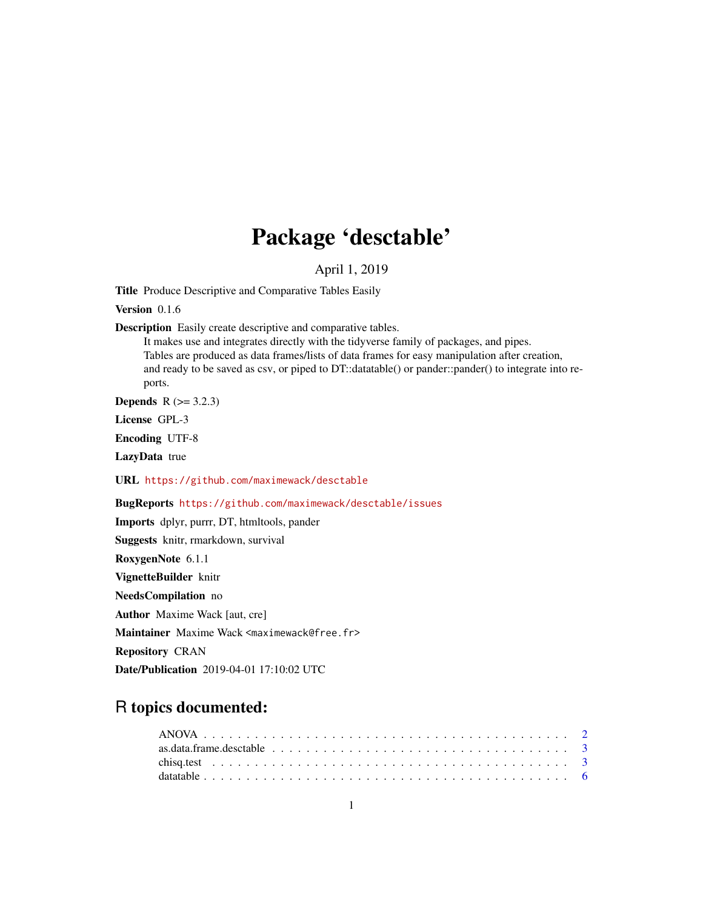## Package 'desctable'

### April 1, 2019

<span id="page-0-0"></span>Title Produce Descriptive and Comparative Tables Easily

Version 0.1.6

Description Easily create descriptive and comparative tables.

It makes use and integrates directly with the tidyverse family of packages, and pipes. Tables are produced as data frames/lists of data frames for easy manipulation after creation, and ready to be saved as csv, or piped to DT::datatable() or pander::pander() to integrate into reports.

**Depends**  $R$  ( $> = 3.2.3$ )

License GPL-3

Encoding UTF-8

LazyData true

URL <https://github.com/maximewack/desctable>

### BugReports <https://github.com/maximewack/desctable/issues>

Imports dplyr, purrr, DT, htmltools, pander Suggests knitr, rmarkdown, survival RoxygenNote 6.1.1 VignetteBuilder knitr NeedsCompilation no Author Maxime Wack [aut, cre] Maintainer Maxime Wack <maximewack@free.fr> Repository CRAN Date/Publication 2019-04-01 17:10:02 UTC

## R topics documented: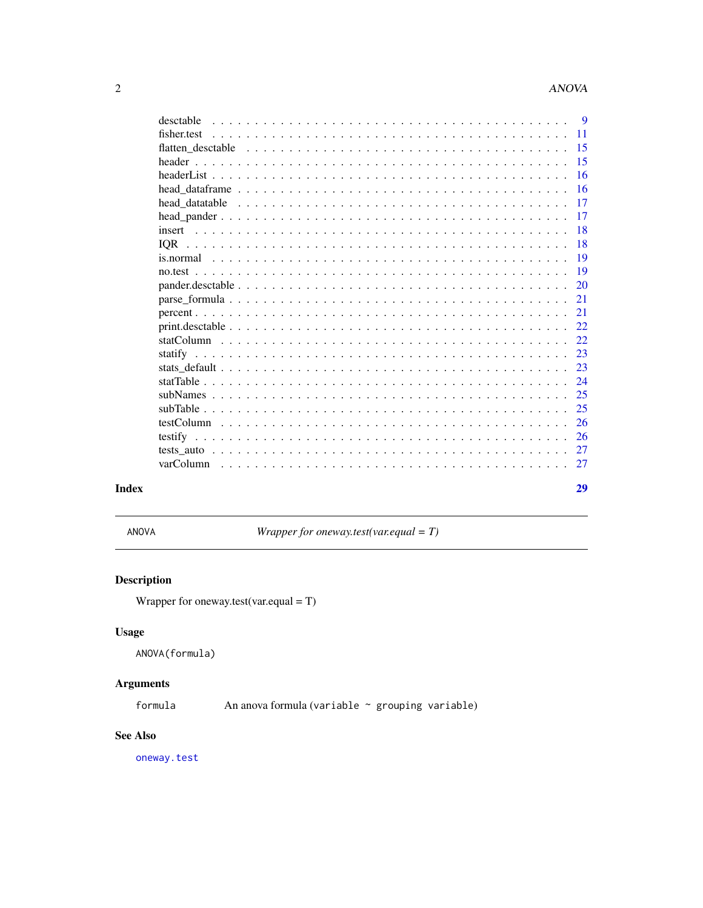<span id="page-1-0"></span>

| desctable                                                                                                                                                                                                                                         | -9  |
|---------------------------------------------------------------------------------------------------------------------------------------------------------------------------------------------------------------------------------------------------|-----|
| fisher.test                                                                                                                                                                                                                                       | 11  |
| flatten desctable                                                                                                                                                                                                                                 | 15  |
|                                                                                                                                                                                                                                                   | 15  |
|                                                                                                                                                                                                                                                   | 16  |
| head data frame $\ldots$ , $\ldots$ , $\ldots$ , $\ldots$ , $\ldots$ , $\ldots$ , $\ldots$ , $\ldots$ , $\ldots$ , $\ldots$ , $\ldots$ , $\ldots$                                                                                                 | 16  |
| head datatable                                                                                                                                                                                                                                    | 17  |
|                                                                                                                                                                                                                                                   | 17  |
|                                                                                                                                                                                                                                                   | 18  |
| <b>IOR</b>                                                                                                                                                                                                                                        | 18  |
|                                                                                                                                                                                                                                                   | 19  |
|                                                                                                                                                                                                                                                   | 19  |
|                                                                                                                                                                                                                                                   | 20  |
|                                                                                                                                                                                                                                                   | 21  |
|                                                                                                                                                                                                                                                   | 21  |
|                                                                                                                                                                                                                                                   | 22  |
|                                                                                                                                                                                                                                                   | 22. |
|                                                                                                                                                                                                                                                   | 23  |
|                                                                                                                                                                                                                                                   | 23  |
|                                                                                                                                                                                                                                                   | 24  |
|                                                                                                                                                                                                                                                   | 25  |
|                                                                                                                                                                                                                                                   | 25  |
|                                                                                                                                                                                                                                                   | 26  |
|                                                                                                                                                                                                                                                   | 26  |
|                                                                                                                                                                                                                                                   | 27  |
| varColumn<br><u>. In the second property of the second property of the second property of the second property of the second property of the second property of the second property of the second property of the second property of the secon</u> | 27  |
|                                                                                                                                                                                                                                                   | 29  |
|                                                                                                                                                                                                                                                   |     |

### **Index**

ANOVA

Wrapper for oneway.test(var.equal =  $T$ )

### **Description**

Wrapper for oneway.test(var.equal =  $T$ )

### **Usage**

ANOVA(formula)

### **Arguments**

formula An anova formula (variable ~ grouping variable)

#### **See Also**

oneway.test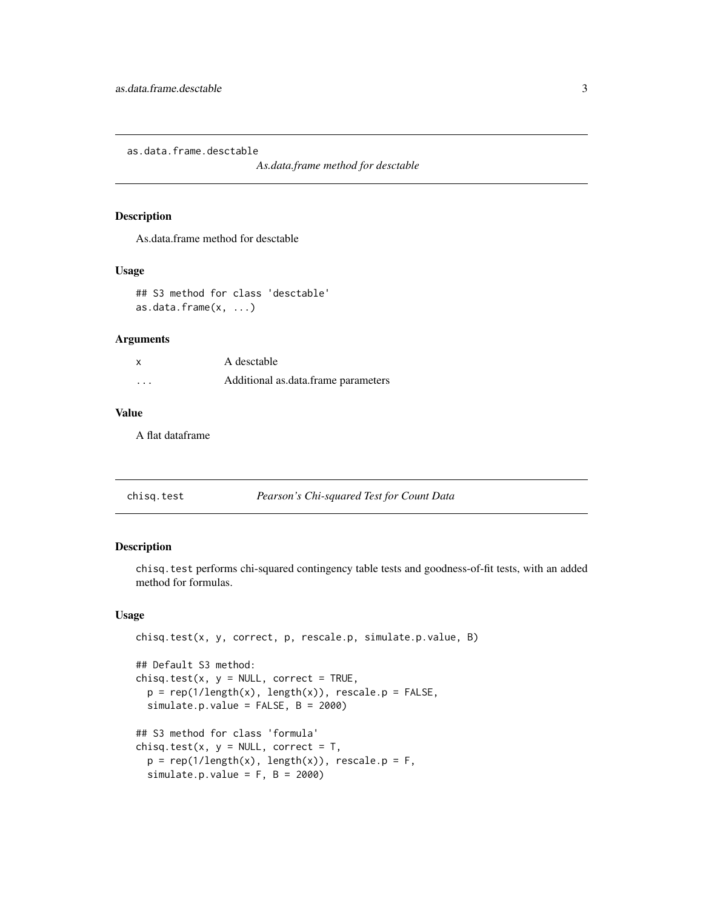<span id="page-2-0"></span>as.data.frame.desctable

*As.data.frame method for desctable*

#### Description

As.data.frame method for desctable

#### Usage

```
## S3 method for class 'desctable'
as.data.frame(x, ...)
```
#### Arguments

| X        | A desctable                         |
|----------|-------------------------------------|
| $\cdots$ | Additional as data frame parameters |

### Value

A flat dataframe

<span id="page-2-1"></span>

| Pearson's Chi-squared Test for Count Data<br>chisq.test |  |
|---------------------------------------------------------|--|
|---------------------------------------------------------|--|

### Description

chisq.test performs chi-squared contingency table tests and goodness-of-fit tests, with an added method for formulas.

### Usage

```
chisq.test(x, y, correct, p, rescale.p, simulate.p.value, B)
## Default S3 method:
chisq.test(x, y = NULL, correct = TRUE,p = rep(1/length(x), length(x)), rescale.p = FALSE,simulate.p.value = FALSE, B = 2000)
## S3 method for class 'formula'
chisq.test(x, y = NULL, correct = T,
 p = rep(1/length(x), length(x)), rescale.p = F,simulate.p.value = F, B = 2000)
```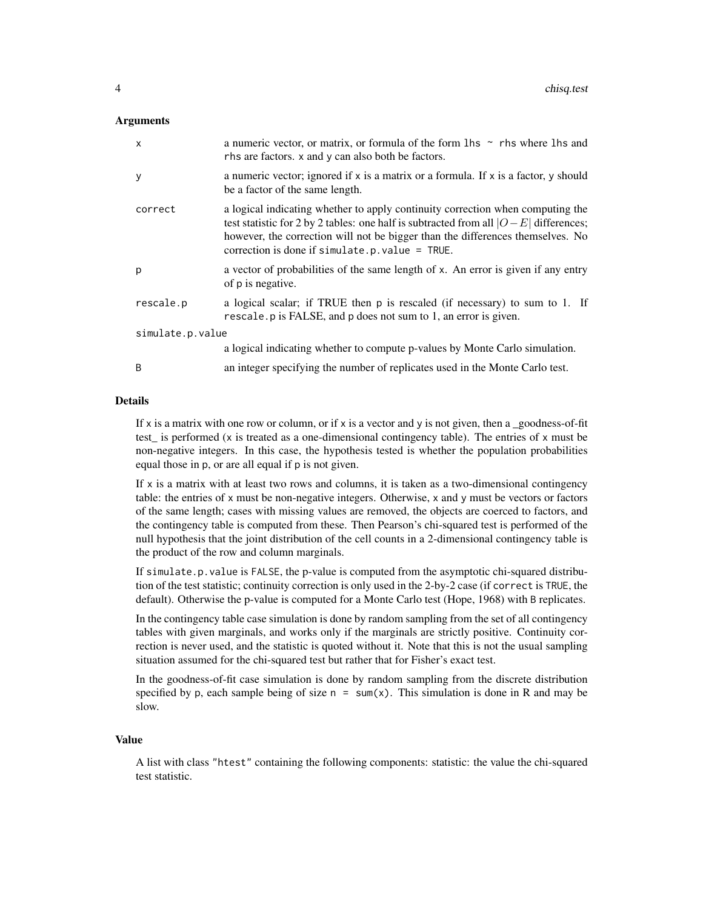#### **Arguments**

| $\mathsf{x}$     | a numeric vector, or matrix, or formula of the form 1hs $\sim$ rhs where 1hs and<br>rhs are factors. x and y can also both be factors.                                                                                                                                                                           |
|------------------|------------------------------------------------------------------------------------------------------------------------------------------------------------------------------------------------------------------------------------------------------------------------------------------------------------------|
| y                | a numeric vector; ignored if x is a matrix or a formula. If x is a factor, y should<br>be a factor of the same length.                                                                                                                                                                                           |
| correct          | a logical indicating whether to apply continuity correction when computing the<br>test statistic for 2 by 2 tables: one half is subtracted from all $ O-E $ differences;<br>however, the correction will not be bigger than the differences themselves. No<br>correction is done if simulate.p. value = $TRUE$ . |
| p                | a vector of probabilities of the same length of x. An error is given if any entry<br>of p is negative.                                                                                                                                                                                                           |
| rescale.p        | a logical scalar; if TRUE then p is rescaled (if necessary) to sum to 1. If<br>rescale. p is FALSE, and p does not sum to 1, an error is given.                                                                                                                                                                  |
| simulate.p.value |                                                                                                                                                                                                                                                                                                                  |
|                  | a logical indicating whether to compute p-values by Monte Carlo simulation.                                                                                                                                                                                                                                      |
| <sub>B</sub>     | an integer specifying the number of replicates used in the Monte Carlo test.                                                                                                                                                                                                                                     |

#### Details

If x is a matrix with one row or column, or if x is a vector and y is not given, then a goodness-of-fit test\_ is performed (x is treated as a one-dimensional contingency table). The entries of x must be non-negative integers. In this case, the hypothesis tested is whether the population probabilities equal those in p, or are all equal if p is not given.

If  $x$  is a matrix with at least two rows and columns, it is taken as a two-dimensional contingency table: the entries of x must be non-negative integers. Otherwise, x and y must be vectors or factors of the same length; cases with missing values are removed, the objects are coerced to factors, and the contingency table is computed from these. Then Pearson's chi-squared test is performed of the null hypothesis that the joint distribution of the cell counts in a 2-dimensional contingency table is the product of the row and column marginals.

If simulate.p.value is FALSE, the p-value is computed from the asymptotic chi-squared distribution of the test statistic; continuity correction is only used in the 2-by-2 case (if correct is TRUE, the default). Otherwise the p-value is computed for a Monte Carlo test (Hope, 1968) with B replicates.

In the contingency table case simulation is done by random sampling from the set of all contingency tables with given marginals, and works only if the marginals are strictly positive. Continuity correction is never used, and the statistic is quoted without it. Note that this is not the usual sampling situation assumed for the chi-squared test but rather that for Fisher's exact test.

In the goodness-of-fit case simulation is done by random sampling from the discrete distribution specified by p, each sample being of size  $n = sum(x)$ . This simulation is done in R and may be slow.

#### Value

A list with class "htest" containing the following components: statistic: the value the chi-squared test statistic.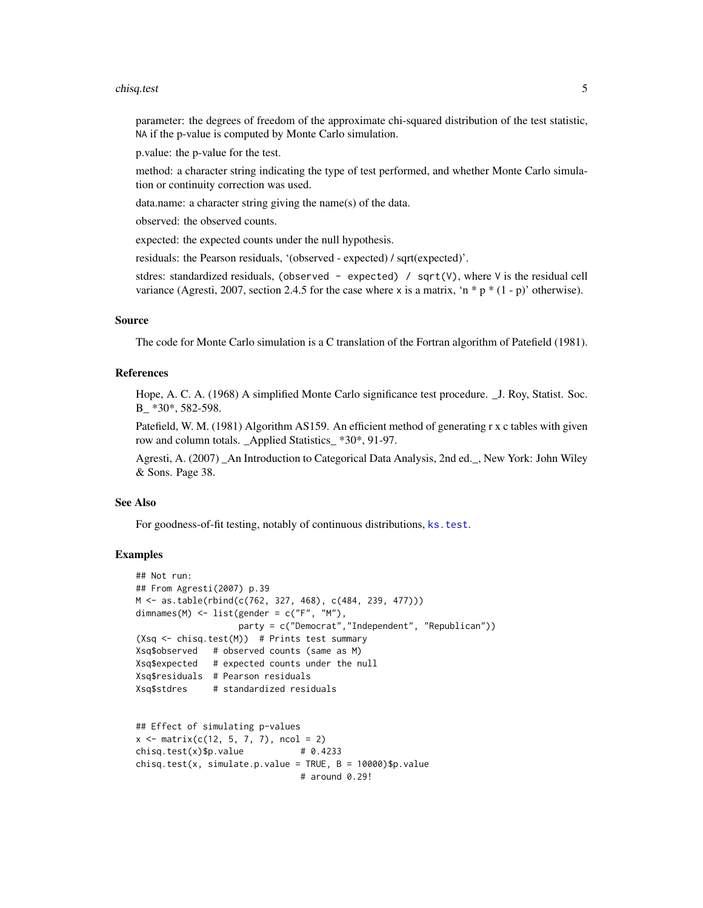#### <span id="page-4-0"></span>chisq.test 5

parameter: the degrees of freedom of the approximate chi-squared distribution of the test statistic, NA if the p-value is computed by Monte Carlo simulation.

p.value: the p-value for the test.

method: a character string indicating the type of test performed, and whether Monte Carlo simulation or continuity correction was used.

data.name: a character string giving the name(s) of the data.

observed: the observed counts.

expected: the expected counts under the null hypothesis.

residuals: the Pearson residuals, '(observed - expected) / sqrt(expected)'.

stdres: standardized residuals, (observed - expected) /  $sqrt(V)$ , where V is the residual cell variance (Agresti, 2007, section 2.4.5 for the case where x is a matrix, 'n  $*$  p  $*$  (1 - p)' otherwise).

#### Source

The code for Monte Carlo simulation is a C translation of the Fortran algorithm of Patefield (1981).

### References

Hope, A. C. A. (1968) A simplified Monte Carlo significance test procedure. \_J. Roy, Statist. Soc. B \*30\*, 582-598.

Patefield, W. M. (1981) Algorithm AS159. An efficient method of generating r x c tables with given row and column totals. \_Applied Statistics\_ \*30\*, 91-97.

Agresti, A. (2007) \_An Introduction to Categorical Data Analysis, 2nd ed.\_, New York: John Wiley & Sons. Page 38.

#### See Also

For goodness-of-fit testing, notably of continuous distributions, [ks.test](#page-0-0).

#### Examples

```
## Not run:
## From Agresti(2007) p.39
M <- as.table(rbind(c(762, 327, 468), c(484, 239, 477)))
dimnames(M) \le list(gender = c("F", "M"),
                   party = c("Democrat","Independent", "Republican"))
(Xsq <- chisq.test(M)) # Prints test summary
Xsq$observed # observed counts (same as M)
Xsq$expected # expected counts under the null
Xsq$residuals # Pearson residuals
Xsq$stdres # standardized residuals
## Effect of simulating p-values
x \le - matrix(c(12, 5, 7, 7), ncol = 2)
chisq.test(x)$p.value \# 0.4233chisq.test(x, simulate.p.value = TRUE, B = 10000)$p.value
```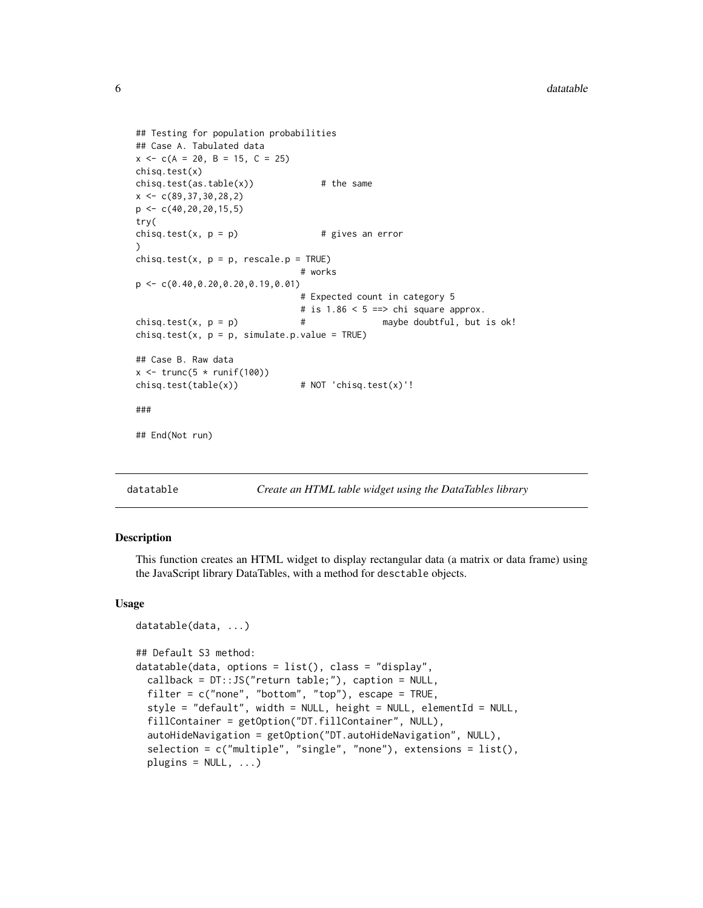```
## Testing for population probabilities
## Case A. Tabulated data
x \leq -c(A = 20, B = 15, C = 25)chisq.test(x)
chisq.test(as.table(x)) # the same
x \leftarrow c(89, 37, 30, 28, 2)p \leftarrow c(40, 20, 20, 15, 5)try(
chisq.test(x, p = p) # gives an error
)
chisq.test(x, p = p, rescale.p = TRUE)
                                # works
p <- c(0.40,0.20,0.20,0.19,0.01)
                                # Expected count in category 5
                                # is 1.86 < 5 == chi square approx.
chisq.test(x, p = p) \qquad \qquad # maybe doubtful, but is ok!
chisq.test(x, p = p, simulate.p.value = TRUE)
## Case B. Raw data
x \leftarrow \text{trunc}(5 * \text{runif}(100))chisq.test(table(x)) # NOT 'chisq.test(x)'!
###
## End(Not run)
```
datatable *Create an HTML table widget using the DataTables library*

### <span id="page-5-1"></span>**Description**

This function creates an HTML widget to display rectangular data (a matrix or data frame) using the JavaScript library DataTables, with a method for desctable objects.

#### Usage

```
datatable(data, ...)
## Default S3 method:
datatable(data, options = list(), class = "display",
  callback = DT::JS("return table;"), caption = NULL,
  filter = c("none", "bottom", "top"), escape = TRUE,
  style = "default", width = NULL, height = NULL, elementId = NULL,
  fillContainer = getOption("DT.fillContainer", NULL),
  autoHideNavigation = getOption("DT.autoHideNavigation", NULL),
  selection = c("multiple", "single", "none"), extensions = list(),
  plugins = NULL, ...)
```
<span id="page-5-0"></span>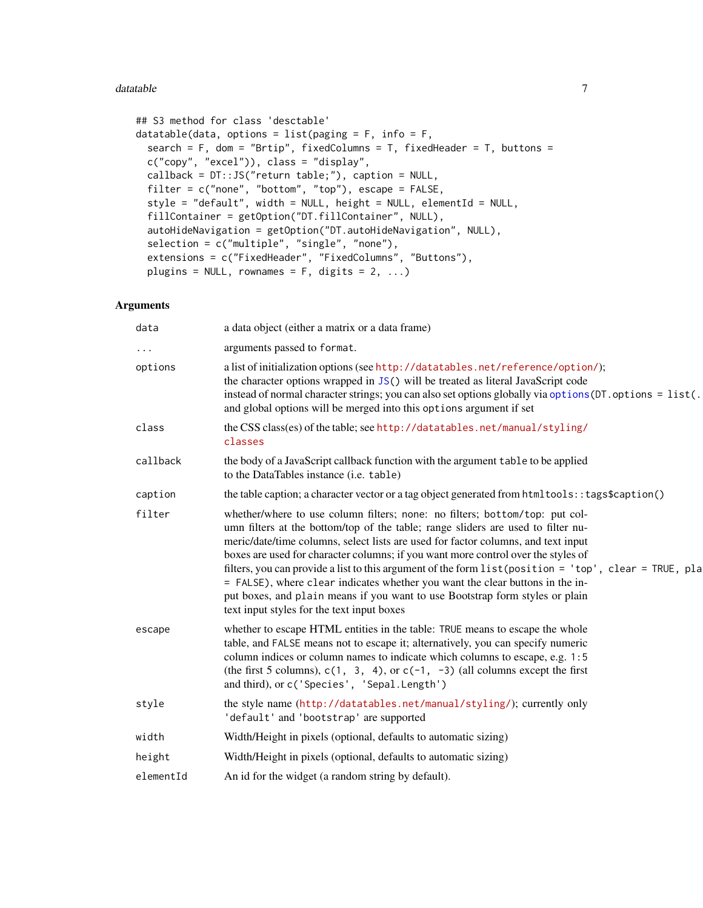#### <span id="page-6-0"></span>datatable 7 and 3 and 3 and 3 and 3 and 3 and 3 and 3 and 3 and 3 and 3 and 3 and 3 and 3 and 3 and 3 and 3 and 3 and 3 and 3 and 3 and 3 and 3 and 3 and 3 and 3 and 3 and 3 and 3 and 3 and 3 and 3 and 3 and 3 and 3 and 3

```
## S3 method for class 'desctable'
datatable(data, options = list(paging = F, info = F,
  search = F, dom = "Brtip", fixedColumns = T, fixedHeader = T, buttons =
 c("copy", "excel")), class = "display",
  callback = DT::JS("return table;"), caption = NULL,
  filter = c("none", "bottom", "top"), escape = FALSE,
  style = "default", width = NULL, height = NULL, elementId = NULL,
  fillContainer = getOption("DT.fillContainer", NULL),
  autoHideNavigation = getOption("DT.autoHideNavigation", NULL),
  selection = c("multiple", "single", "none"),
  extensions = c("FixedHeader", "FixedColumns", "Buttons"),
 plugins = NULL, rownames = F, digits = 2, ...)
```
### Arguments

| data      | a data object (either a matrix or a data frame)                                                                                                                                                                                                                                                                                                                                                                                                                                                                                                                                                                                                                    |
|-----------|--------------------------------------------------------------------------------------------------------------------------------------------------------------------------------------------------------------------------------------------------------------------------------------------------------------------------------------------------------------------------------------------------------------------------------------------------------------------------------------------------------------------------------------------------------------------------------------------------------------------------------------------------------------------|
| .         | arguments passed to format.                                                                                                                                                                                                                                                                                                                                                                                                                                                                                                                                                                                                                                        |
| options   | a list of initialization options (see http://datatables.net/reference/option/);<br>the character options wrapped in JS() will be treated as literal JavaScript code<br>instead of normal character strings; you can also set options globally via options (DT. options = list(.<br>and global options will be merged into this options argument if set                                                                                                                                                                                                                                                                                                             |
| class     | the CSS class(es) of the table; see http://datatables.net/manual/styling/<br>classes                                                                                                                                                                                                                                                                                                                                                                                                                                                                                                                                                                               |
| callback  | the body of a JavaScript callback function with the argument table to be applied<br>to the DataTables instance (i.e. table)                                                                                                                                                                                                                                                                                                                                                                                                                                                                                                                                        |
| caption   | the table caption; a character vector or a tag object generated from html tools: : tags\$caption()                                                                                                                                                                                                                                                                                                                                                                                                                                                                                                                                                                 |
| filter    | whether/where to use column filters; none: no filters; bottom/top: put col-<br>umn filters at the bottom/top of the table; range sliders are used to filter nu-<br>meric/date/time columns, select lists are used for factor columns, and text input<br>boxes are used for character columns; if you want more control over the styles of<br>filters, you can provide a list to this argument of the form list (position = 'top', clear = TRUE, pla<br>= FALSE), where clear indicates whether you want the clear buttons in the in-<br>put boxes, and plain means if you want to use Bootstrap form styles or plain<br>text input styles for the text input boxes |
| escape    | whether to escape HTML entities in the table: TRUE means to escape the whole<br>table, and FALSE means not to escape it; alternatively, you can specify numeric<br>column indices or column names to indicate which columns to escape, e.g. 1:5<br>(the first 5 columns), $c(1, 3, 4)$ , or $c(-1, -3)$ (all columns except the first<br>and third), or c('Species', 'Sepal.Length')                                                                                                                                                                                                                                                                               |
| style     | the style name (http://datatables.net/manual/styling/); currently only<br>'default' and 'bootstrap' are supported                                                                                                                                                                                                                                                                                                                                                                                                                                                                                                                                                  |
| width     | Width/Height in pixels (optional, defaults to automatic sizing)                                                                                                                                                                                                                                                                                                                                                                                                                                                                                                                                                                                                    |
| height    | Width/Height in pixels (optional, defaults to automatic sizing)                                                                                                                                                                                                                                                                                                                                                                                                                                                                                                                                                                                                    |
| elementId | An id for the widget (a random string by default).                                                                                                                                                                                                                                                                                                                                                                                                                                                                                                                                                                                                                 |
|           |                                                                                                                                                                                                                                                                                                                                                                                                                                                                                                                                                                                                                                                                    |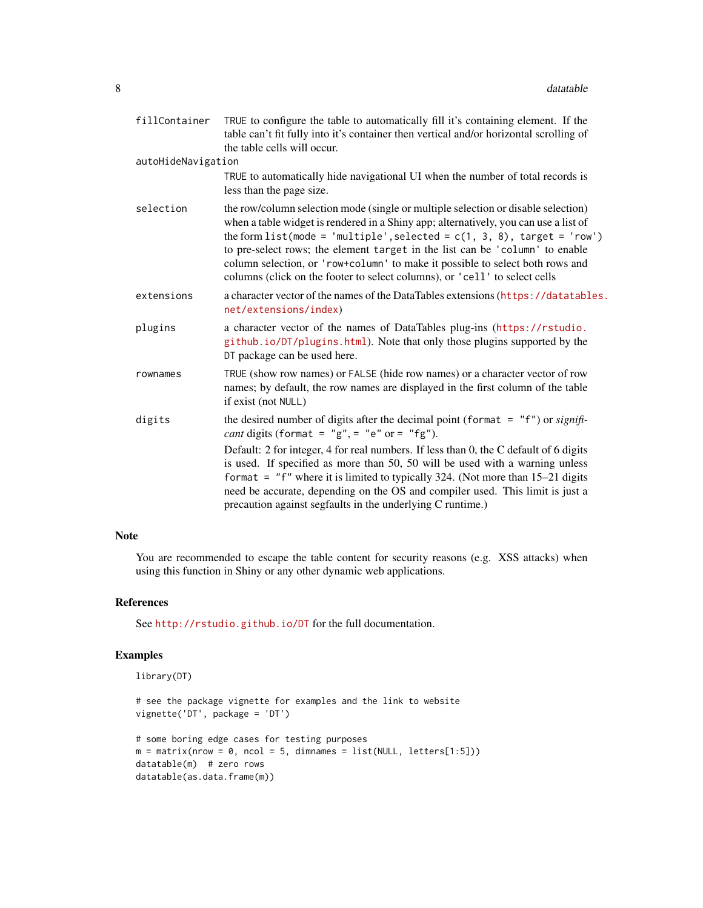| fillContainer      | TRUE to configure the table to automatically fill it's containing element. If the<br>table can't fit fully into it's container then vertical and/or horizontal scrolling of<br>the table cells will occur.                                                                                                                                                                                                                                                                                             |
|--------------------|--------------------------------------------------------------------------------------------------------------------------------------------------------------------------------------------------------------------------------------------------------------------------------------------------------------------------------------------------------------------------------------------------------------------------------------------------------------------------------------------------------|
| autoHideNavigation |                                                                                                                                                                                                                                                                                                                                                                                                                                                                                                        |
|                    | TRUE to automatically hide navigational UI when the number of total records is<br>less than the page size.                                                                                                                                                                                                                                                                                                                                                                                             |
| selection          | the row/column selection mode (single or multiple selection or disable selection)<br>when a table widget is rendered in a Shiny app; alternatively, you can use a list of<br>the form list(mode = 'multiple', selected = $c(1, 3, 8)$ , target = 'row')<br>to pre-select rows; the element target in the list can be 'column' to enable<br>column selection, or 'row+column' to make it possible to select both rows and<br>columns (click on the footer to select columns), or 'cell' to select cells |
| extensions         | a character vector of the names of the DataTables extensions (https://datatables.<br>net/extensions/index)                                                                                                                                                                                                                                                                                                                                                                                             |
| plugins            | a character vector of the names of DataTables plug-ins (https://rstudio.<br>github.io/DT/plugins.html). Note that only those plugins supported by the<br>DT package can be used here.                                                                                                                                                                                                                                                                                                                  |
| rownames           | TRUE (show row names) or FALSE (hide row names) or a character vector of row<br>names; by default, the row names are displayed in the first column of the table<br>if exist (not NULL)                                                                                                                                                                                                                                                                                                                 |
| digits             | the desired number of digits after the decimal point (format = $"f"$ ) or signifi-<br><i>cant</i> digits (format = " $g''$ , = " $e''$ or = " $fg''$ ).                                                                                                                                                                                                                                                                                                                                                |
|                    | Default: 2 for integer, 4 for real numbers. If less than 0, the C default of 6 digits<br>is used. If specified as more than 50, 50 will be used with a warning unless<br>format = "f" where it is limited to typically 324. (Not more than $15-21$ digits<br>need be accurate, depending on the OS and compiler used. This limit is just a<br>precaution against segfaults in the underlying C runtime.)                                                                                               |

#### Note

You are recommended to escape the table content for security reasons (e.g. XSS attacks) when using this function in Shiny or any other dynamic web applications.

### References

See <http://rstudio.github.io/DT> for the full documentation.

### Examples

```
library(DT)
```

```
# see the package vignette for examples and the link to website
vignette('DT', package = 'DT')
```

```
# some boring edge cases for testing purposes
m = matrix(nrow = 0, ncol = 5, dimnames = list(NULL, letters[1:5]))datatable(m) # zero rows
datatable(as.data.frame(m))
```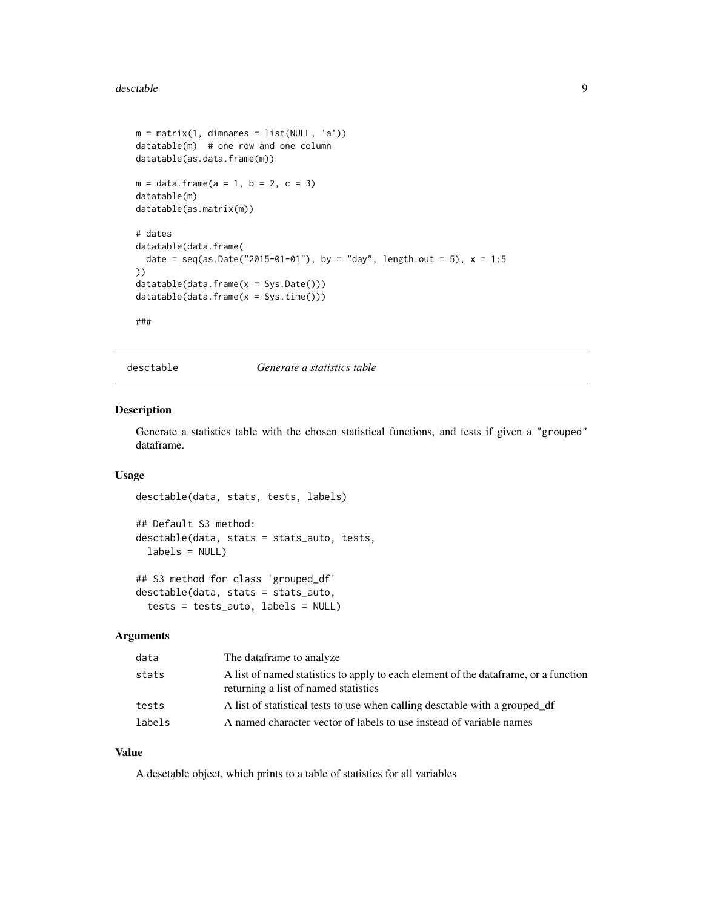#### <span id="page-8-0"></span>desctable **9** and 2008 **9** and 2008 **9** and 2008 **9** and 2008 **9** and 2008 **9** and 2008 **9** and 2008 **9** and 2008 **9** and 2008 **9** and 2008 **9** and 2008 **9** and 2008 **9** and 2008 **9** and 2008 **9** and 2008 **9** and 2008 **9**

```
m = matrix(1, dimnames = list(NULL, 'a'))datatable(m) # one row and one column
datatable(as.data.frame(m))
m = data. frame(a = 1, b = 2, c = 3)
datatable(m)
datatable(as.matrix(m))
# dates
datatable(data.frame(
  date = seq(as.Date("2015-01-01"), by = "day", length.out = 5), x = 1:5))
datatable(data.frame(x = Sys.Date()))
datatable(data.frame(x = Sys.time()))
###
```
desctable *Generate a statistics table*

### Description

Generate a statistics table with the chosen statistical functions, and tests if given a "grouped" dataframe.

#### Usage

```
desctable(data, stats, tests, labels)
## Default S3 method:
desctable(data, stats = stats_auto, tests,
 labels = NULL)## S3 method for class 'grouped_df'
desctable(data, stats = stats_auto,
```
tests = tests\_auto, labels = NULL)

Arguments

| data   | The dataframe to analyze                                                                                                     |
|--------|------------------------------------------------------------------------------------------------------------------------------|
| stats  | A list of named statistics to apply to each element of the data frame, or a function<br>returning a list of named statistics |
| tests  | A list of statistical tests to use when calling desctable with a grouped df                                                  |
| labels | A named character vector of labels to use instead of variable names                                                          |

### Value

A desctable object, which prints to a table of statistics for all variables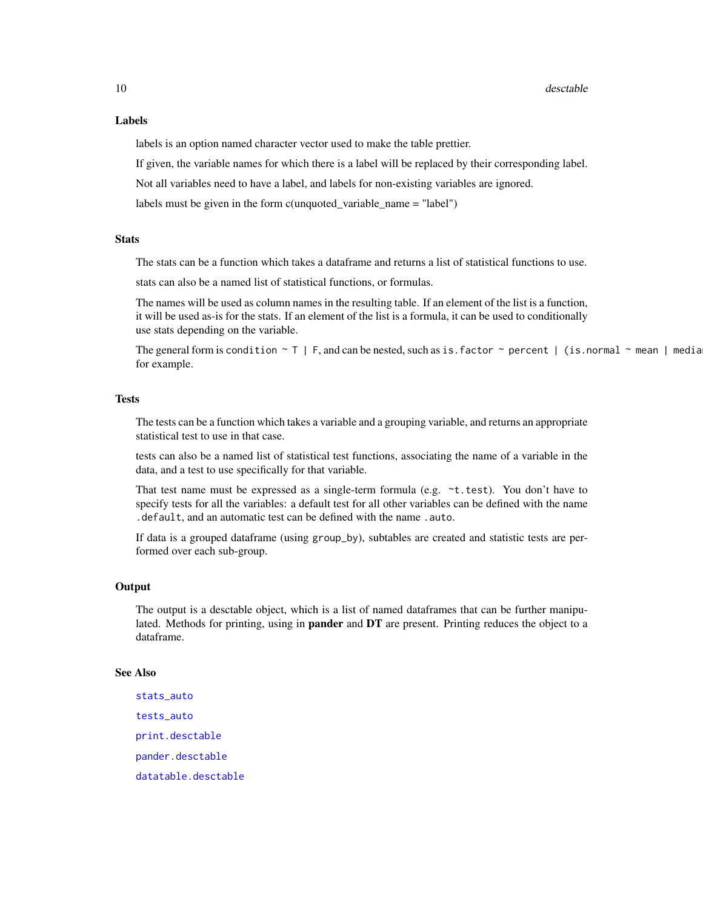#### <span id="page-9-0"></span>Labels

labels is an option named character vector used to make the table prettier.

If given, the variable names for which there is a label will be replaced by their corresponding label.

Not all variables need to have a label, and labels for non-existing variables are ignored.

labels must be given in the form c(unquoted\_variable\_name = "label")

#### **Stats**

The stats can be a function which takes a dataframe and returns a list of statistical functions to use.

stats can also be a named list of statistical functions, or formulas.

The names will be used as column names in the resulting table. If an element of the list is a function, it will be used as-is for the stats. If an element of the list is a formula, it can be used to conditionally use stats depending on the variable.

The general form is condition  $\sim 7$  | F, and can be nested, such as is.factor  $\sim$  percent | (is.normal  $\sim$  mean | media for example.

#### Tests

The tests can be a function which takes a variable and a grouping variable, and returns an appropriate statistical test to use in that case.

tests can also be a named list of statistical test functions, associating the name of a variable in the data, and a test to use specifically for that variable.

That test name must be expressed as a single-term formula (e.g.  $\sim t.$  test). You don't have to specify tests for all the variables: a default test for all other variables can be defined with the name .default, and an automatic test can be defined with the name .auto.

If data is a grouped dataframe (using group\_by), subtables are created and statistic tests are performed over each sub-group.

### **Output**

The output is a desctable object, which is a list of named dataframes that can be further manipulated. Methods for printing, using in pander and DT are present. Printing reduces the object to a dataframe.

#### See Also

[stats\\_auto](#page-22-1) [tests\\_auto](#page-26-1) [print.desctable](#page-21-1) [pander.desctable](#page-19-1) [datatable.desctable](#page-5-1)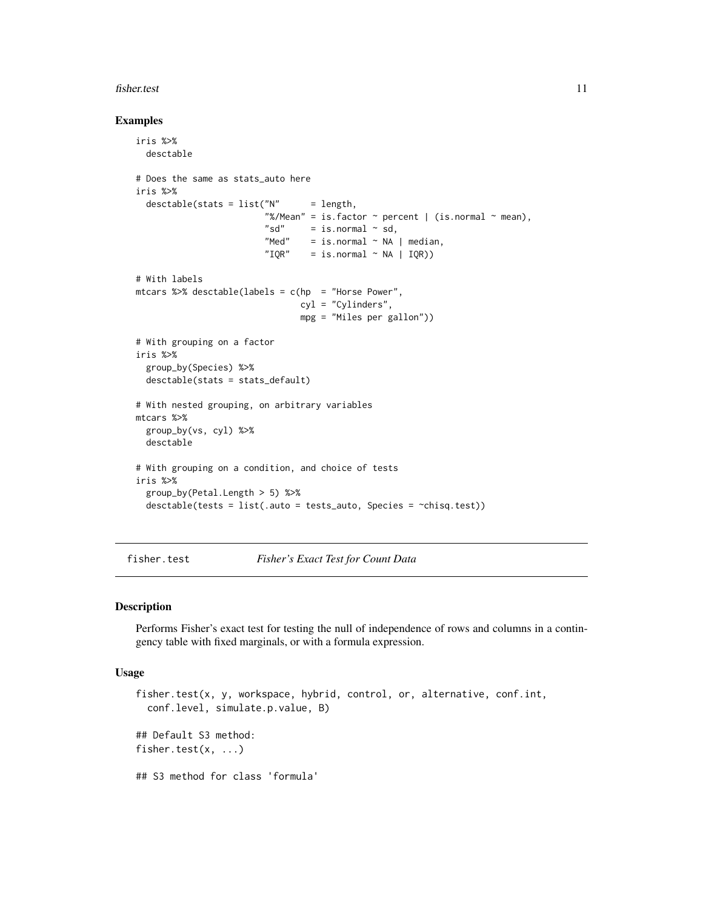#### <span id="page-10-0"></span>fisher.test 11

#### Examples

```
iris %>%
  desctable
# Does the same as stats auto here
iris %>%
  desctable(stats = list("N" = length,"%/Mean" = is.factor \sim percent | (is.normal \sim mean),<br>"sd" = is.normal \sim sd,
                                  = is.normal \sim sd,
                           "Med" = is.normal \sim NA | median,<br>"TOR" = is normal \sim NA | TOR))
                           "IQR" = is.normal ~ NA | IQR)# With labels
mtcars %>% desctable(labels = c(hp = "Horse Power",
                                   cyl = "Cylinders",
                                   mpg = "Miles per gallon"))
# With grouping on a factor
iris %>%
  group_by(Species) %>%
  desctable(stats = stats_default)
# With nested grouping, on arbitrary variables
mtcars %>%
  group_by(vs, cyl) %>%
  desctable
# With grouping on a condition, and choice of tests
iris %>%
  group_by(Petal.Length > 5) %>%
  desctable(tests = list(.auto = tests_auto, Species = ~chisq.test))
```
#### fisher.test *Fisher's Exact Test for Count Data*

#### Description

Performs Fisher's exact test for testing the null of independence of rows and columns in a contingency table with fixed marginals, or with a formula expression.

#### Usage

```
fisher.test(x, y, workspace, hybrid, control, or, alternative, conf.int,
  conf.level, simulate.p.value, B)
## Default S3 method:
fisher.test(x, ...)
## S3 method for class 'formula'
```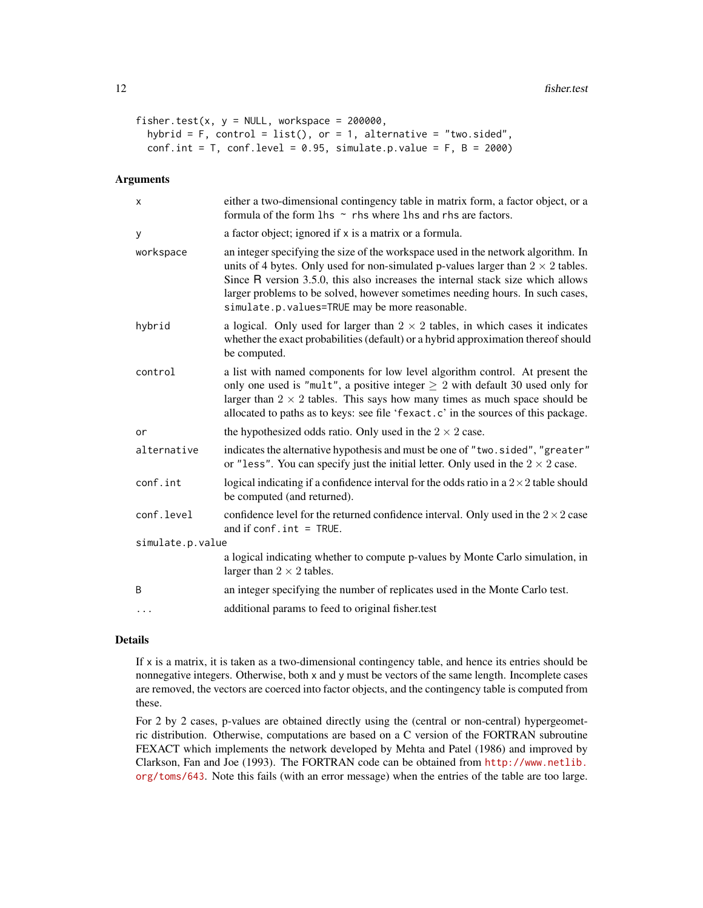```
fisher.test(x, y = NULL, workspace = 200000,
 hybrid = F, control = list(), or = 1, alternative = "two.sided",
 conf.int = T, conf. level = 0.95, simulate.p.value = F, B = 2000)
```
### Arguments

| Χ                | either a two-dimensional contingency table in matrix form, a factor object, or a<br>formula of the form $\ln s \sim$ rhs where $\ln s$ and rhs are factors.                                                                                                                                                                                                                                        |
|------------------|----------------------------------------------------------------------------------------------------------------------------------------------------------------------------------------------------------------------------------------------------------------------------------------------------------------------------------------------------------------------------------------------------|
| У                | a factor object; ignored if x is a matrix or a formula.                                                                                                                                                                                                                                                                                                                                            |
| workspace        | an integer specifying the size of the workspace used in the network algorithm. In<br>units of 4 bytes. Only used for non-simulated p-values larger than $2 \times 2$ tables.<br>Since R version 3.5.0, this also increases the internal stack size which allows<br>larger problems to be solved, however sometimes needing hours. In such cases,<br>simulate.p.values=TRUE may be more reasonable. |
| hybrid           | a logical. Only used for larger than $2 \times 2$ tables, in which cases it indicates<br>whether the exact probabilities (default) or a hybrid approximation thereof should<br>be computed.                                                                                                                                                                                                        |
| control          | a list with named components for low level algorithm control. At present the<br>only one used is "mult", a positive integer $\geq 2$ with default 30 used only for<br>larger than $2 \times 2$ tables. This says how many times as much space should be<br>allocated to paths as to keys: see file 'fexact.c' in the sources of this package.                                                      |
| or               | the hypothesized odds ratio. Only used in the $2 \times 2$ case.                                                                                                                                                                                                                                                                                                                                   |
| alternative      | indicates the alternative hypothesis and must be one of "two.sided", "greater"<br>or "less". You can specify just the initial letter. Only used in the $2 \times 2$ case.                                                                                                                                                                                                                          |
| conf.int         | logical indicating if a confidence interval for the odds ratio in a $2 \times 2$ table should<br>be computed (and returned).                                                                                                                                                                                                                                                                       |
| conf.level       | confidence level for the returned confidence interval. Only used in the $2 \times 2$ case<br>and if $conf.int = TRUE$ .                                                                                                                                                                                                                                                                            |
| simulate.p.value |                                                                                                                                                                                                                                                                                                                                                                                                    |
|                  | a logical indicating whether to compute p-values by Monte Carlo simulation, in<br>larger than $2 \times 2$ tables.                                                                                                                                                                                                                                                                                 |
| B                | an integer specifying the number of replicates used in the Monte Carlo test.                                                                                                                                                                                                                                                                                                                       |
| $\cdots$         | additional params to feed to original fisher.test                                                                                                                                                                                                                                                                                                                                                  |

#### Details

If x is a matrix, it is taken as a two-dimensional contingency table, and hence its entries should be nonnegative integers. Otherwise, both x and y must be vectors of the same length. Incomplete cases are removed, the vectors are coerced into factor objects, and the contingency table is computed from these.

For 2 by 2 cases, p-values are obtained directly using the (central or non-central) hypergeometric distribution. Otherwise, computations are based on a C version of the FORTRAN subroutine FEXACT which implements the network developed by Mehta and Patel (1986) and improved by Clarkson, Fan and Joe (1993). The FORTRAN code can be obtained from [http://www.netlib.](http://www.netlib.org/toms/643) [org/toms/643](http://www.netlib.org/toms/643). Note this fails (with an error message) when the entries of the table are too large.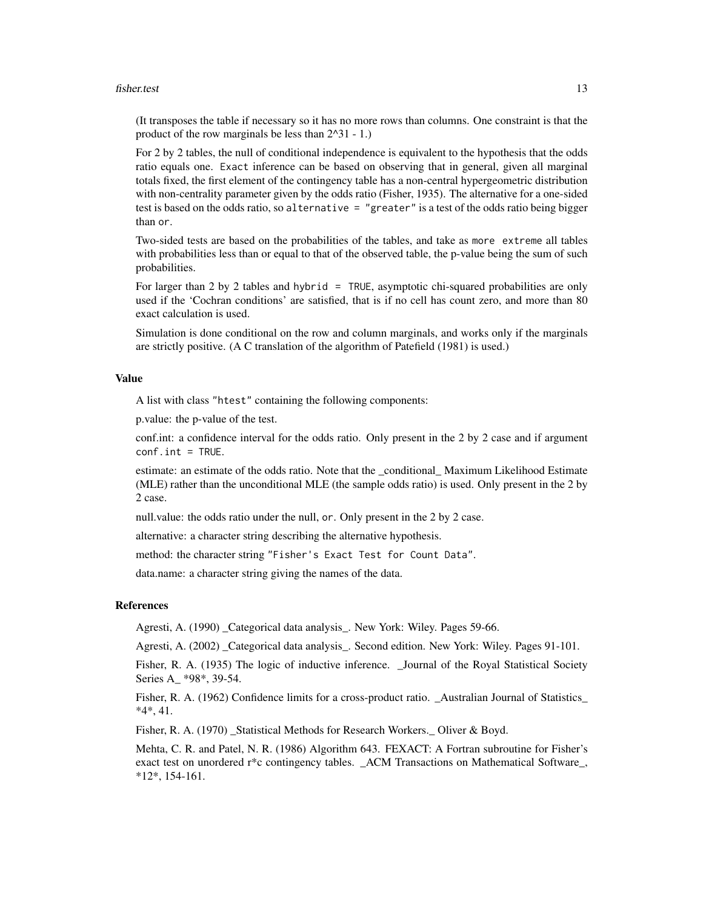#### fisher.test 13

(It transposes the table if necessary so it has no more rows than columns. One constraint is that the product of the row marginals be less than 2^31 - 1.)

For 2 by 2 tables, the null of conditional independence is equivalent to the hypothesis that the odds ratio equals one. Exact inference can be based on observing that in general, given all marginal totals fixed, the first element of the contingency table has a non-central hypergeometric distribution with non-centrality parameter given by the odds ratio (Fisher, 1935). The alternative for a one-sided test is based on the odds ratio, so alternative = "greater" is a test of the odds ratio being bigger than or.

Two-sided tests are based on the probabilities of the tables, and take as more extreme all tables with probabilities less than or equal to that of the observed table, the p-value being the sum of such probabilities.

For larger than 2 by 2 tables and hybrid = TRUE, asymptotic chi-squared probabilities are only used if the 'Cochran conditions' are satisfied, that is if no cell has count zero, and more than 80 exact calculation is used.

Simulation is done conditional on the row and column marginals, and works only if the marginals are strictly positive. (A C translation of the algorithm of Patefield (1981) is used.)

#### Value

A list with class "htest" containing the following components:

p.value: the p-value of the test.

conf.int: a confidence interval for the odds ratio. Only present in the 2 by 2 case and if argument  $conf.int = TRUE.$ 

estimate: an estimate of the odds ratio. Note that the \_conditional\_ Maximum Likelihood Estimate (MLE) rather than the unconditional MLE (the sample odds ratio) is used. Only present in the 2 by 2 case.

null.value: the odds ratio under the null, or. Only present in the 2 by 2 case.

alternative: a character string describing the alternative hypothesis.

method: the character string "Fisher's Exact Test for Count Data".

data.name: a character string giving the names of the data.

#### References

Agresti, A. (1990) \_Categorical data analysis\_. New York: Wiley. Pages 59-66.

Agresti, A. (2002) \_Categorical data analysis\_. Second edition. New York: Wiley. Pages 91-101.

Fisher, R. A. (1935) The logic of inductive inference. \_Journal of the Royal Statistical Society Series A\_ \*98\*, 39-54.

Fisher, R. A. (1962) Confidence limits for a cross-product ratio. \_Australian Journal of Statistics\_ \*4\*, 41.

Fisher, R. A. (1970) \_Statistical Methods for Research Workers.\_ Oliver & Boyd.

Mehta, C. R. and Patel, N. R. (1986) Algorithm 643. FEXACT: A Fortran subroutine for Fisher's exact test on unordered r\*c contingency tables. \_ACM Transactions on Mathematical Software\_, \*12\*, 154-161.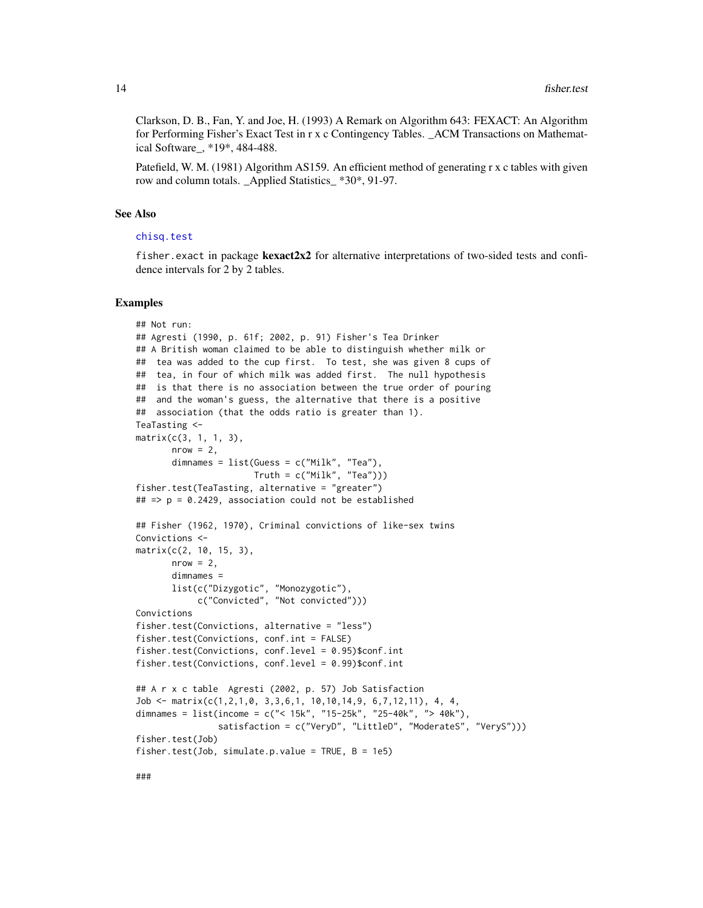<span id="page-13-0"></span>Clarkson, D. B., Fan, Y. and Joe, H. (1993) A Remark on Algorithm 643: FEXACT: An Algorithm for Performing Fisher's Exact Test in r x c Contingency Tables. \_ACM Transactions on Mathematical Software\_, \*19\*, 484-488.

Patefield, W. M. (1981) Algorithm AS159. An efficient method of generating r x c tables with given row and column totals. \_Applied Statistics\_ \*30\*, 91-97.

#### See Also

#### [chisq.test](#page-2-1)

fisher.exact in package **kexact2x2** for alternative interpretations of two-sided tests and confidence intervals for 2 by 2 tables.

#### Examples

```
## Not run:
## Agresti (1990, p. 61f; 2002, p. 91) Fisher's Tea Drinker
## A British woman claimed to be able to distinguish whether milk or
## tea was added to the cup first. To test, she was given 8 cups of
## tea, in four of which milk was added first. The null hypothesis
## is that there is no association between the true order of pouring
## and the woman's guess, the alternative that there is a positive
## association (that the odds ratio is greater than 1).
TeaTasting <-
matrix(c(3, 1, 1, 3),
       nrow = 2,
       dimnames = list(Guess = c("Milk", "Tea"),
                      Truth = c("Milk", "Tea"))fisher.test(TeaTasting, alternative = "greater")
## => p = 0.2429, association could not be established
## Fisher (1962, 1970), Criminal convictions of like-sex twins
Convictions <-
matrix(c(2, 10, 15, 3),
       nrow = 2,
       dimnames =
       list(c("Dizygotic", "Monozygotic"),
            c("Convicted", "Not convicted")))
Convictions
fisher.test(Convictions, alternative = "less")
fisher.test(Convictions, conf.int = FALSE)
fisher.test(Convictions, conf.level = 0.95)$conf.int
fisher.test(Convictions, conf.level = 0.99)$conf.int
## A r x c table Agresti (2002, p. 57) Job Satisfaction
Job <- matrix(c(1,2,1,0, 3,3,6,1, 10,10,14,9, 6,7,12,11), 4, 4,
dimnames = list(income = c("< 15k", "15-25k", "25-40k", "> 40k"),
                satisfaction = c("VeryD", "LittleD", "ModerateS", "VeryS")))
fisher.test(Job)
fisher.test(Job, simulate.p.value = TRUE, B = 1e5)
```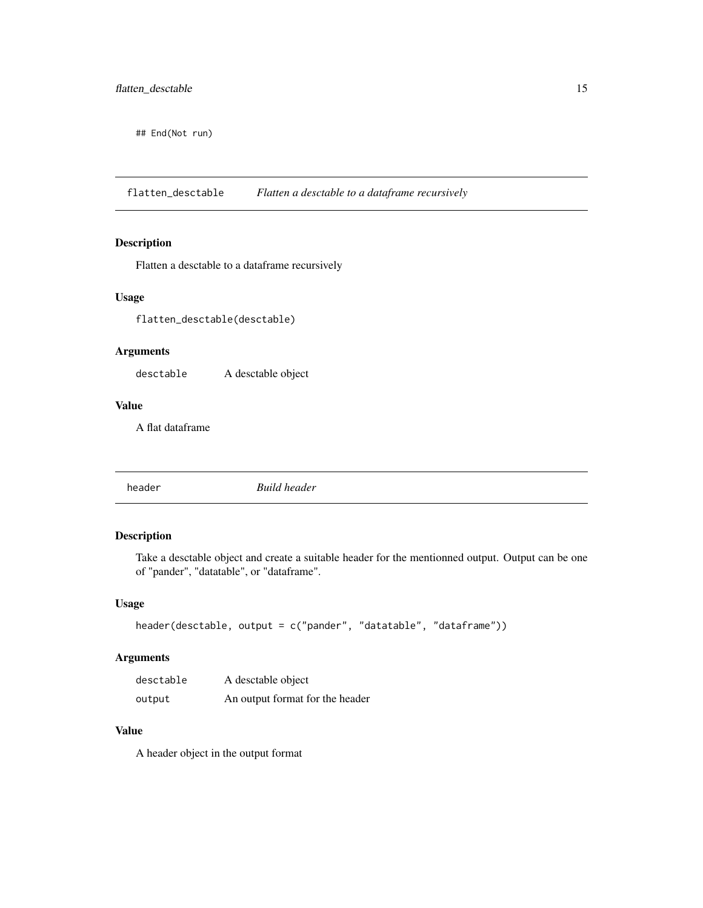<span id="page-14-0"></span>## End(Not run)

flatten\_desctable *Flatten a desctable to a dataframe recursively*

### Description

Flatten a desctable to a dataframe recursively

### Usage

flatten\_desctable(desctable)

### Arguments

desctable A desctable object

#### Value

A flat dataframe

header *Build header*

### Description

Take a desctable object and create a suitable header for the mentionned output. Output can be one of "pander", "datatable", or "dataframe".

### Usage

```
header(desctable, output = c("pander", "datatable", "dataframe"))
```
#### Arguments

| desctable | A desctable object              |
|-----------|---------------------------------|
| output    | An output format for the header |

#### Value

A header object in the output format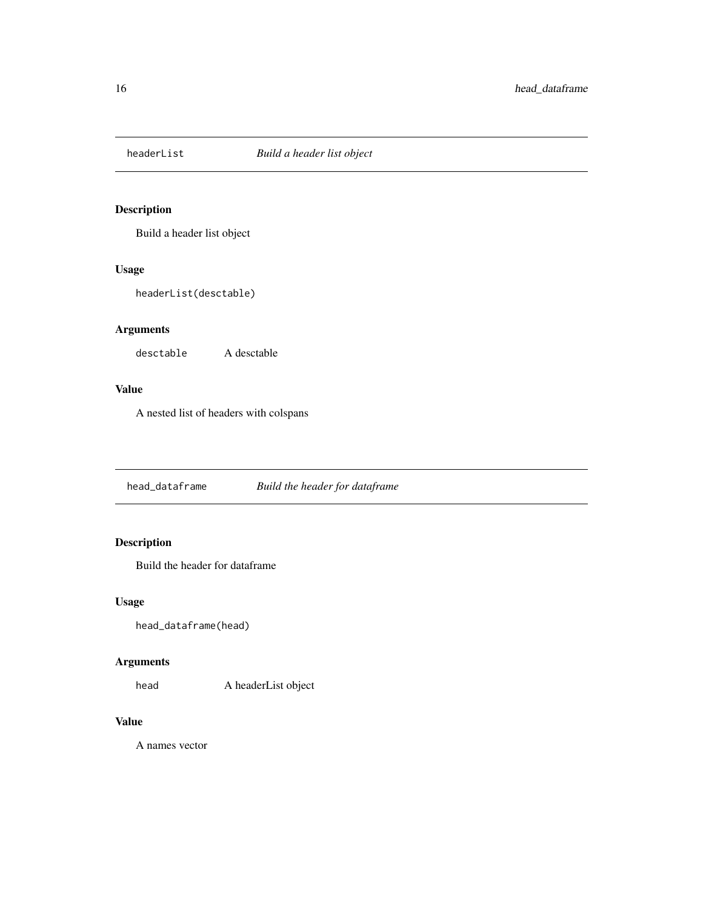<span id="page-15-0"></span>

Build a header list object

### Usage

headerList(desctable)

### Arguments

desctable A desctable

### Value

A nested list of headers with colspans

head\_dataframe *Build the header for dataframe*

### Description

Build the header for dataframe

### Usage

head\_dataframe(head)

### Arguments

head A headerList object

### Value

A names vector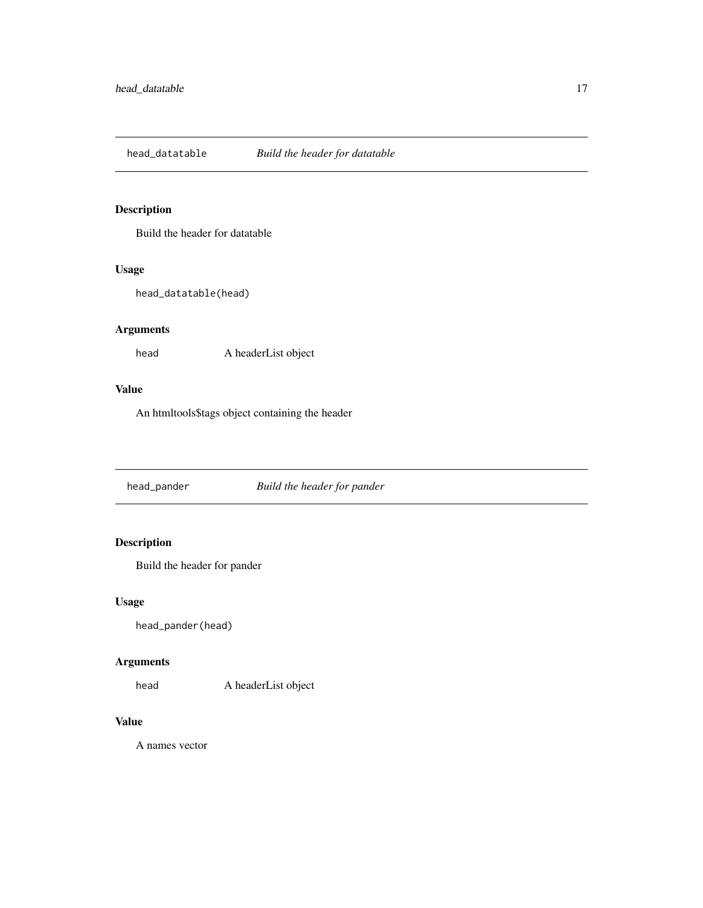<span id="page-16-0"></span>head\_datatable *Build the header for datatable*

### Description

Build the header for datatable

### Usage

head\_datatable(head)

### Arguments

head A headerList object

### Value

An htmltools\$tags object containing the header

head\_pander *Build the header for pander*

### Description

Build the header for pander

### Usage

head\_pander(head)

### Arguments

head A headerList object

### Value

A names vector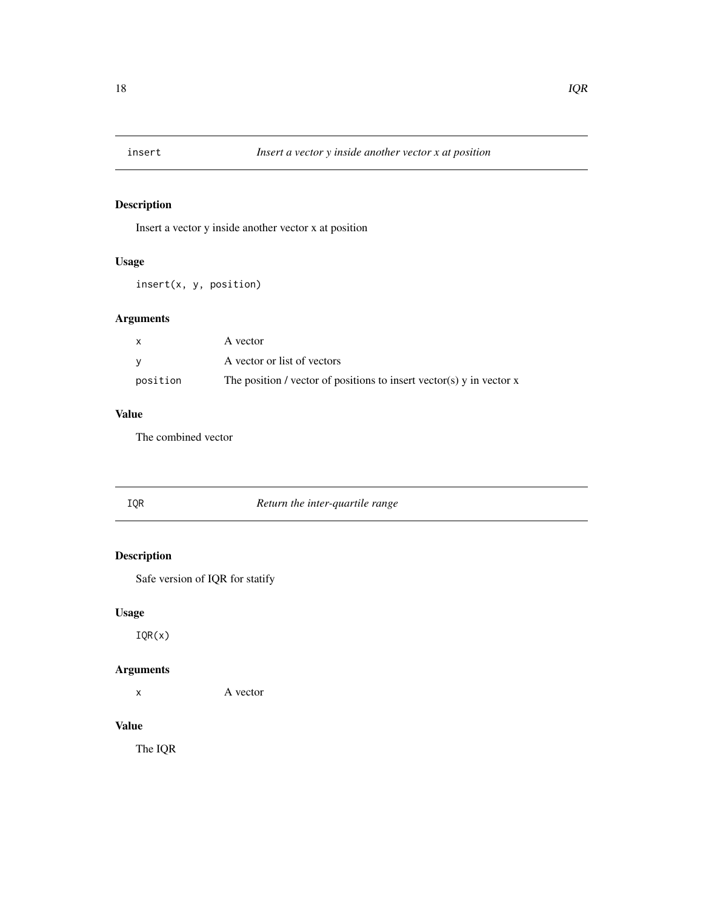<span id="page-17-0"></span>

Insert a vector y inside another vector x at position

### Usage

insert(x, y, position)

### Arguments

| $\mathsf{x}$ | A vector                                                               |
|--------------|------------------------------------------------------------------------|
| <b>V</b>     | A vector or list of vectors                                            |
| position     | The position / vector of positions to insert vector(s) y in vector $x$ |

### Value

The combined vector

| IQR | Return the inter-quartile range |
|-----|---------------------------------|
|     |                                 |

### Description

Safe version of IQR for statify

### Usage

IQR(x)

### Arguments

x A vector

### Value

The IQR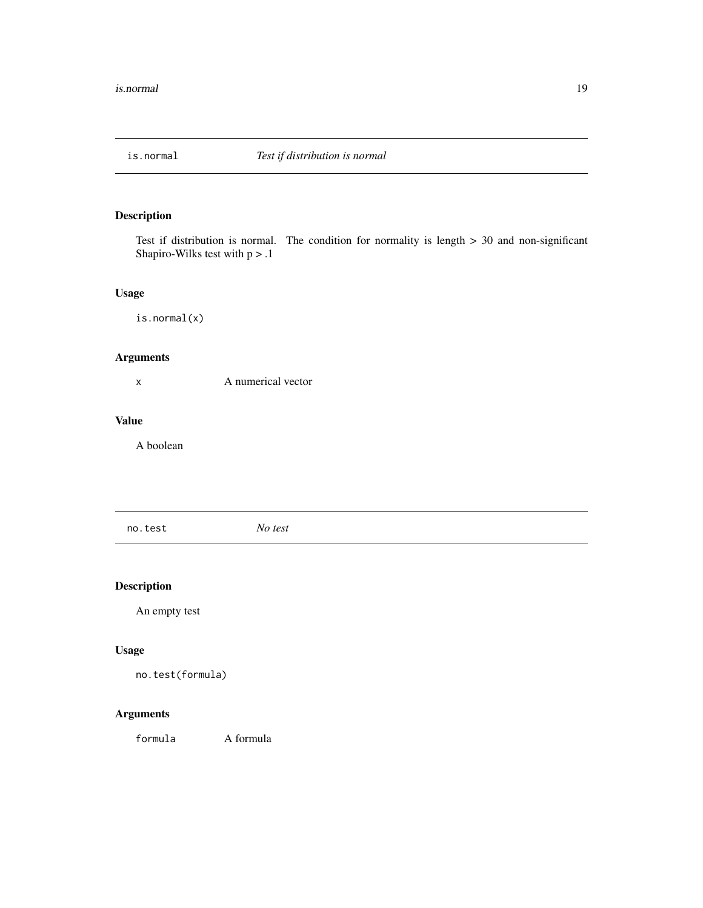<span id="page-18-0"></span>

Test if distribution is normal. The condition for normality is length > 30 and non-significant Shapiro-Wilks test with  $p > 0.1$ 

### Usage

is.normal(x)

### Arguments

x A numerical vector

#### Value

A boolean

no.test *No test*

### Description

An empty test

### Usage

no.test(formula)

### Arguments

formula A formula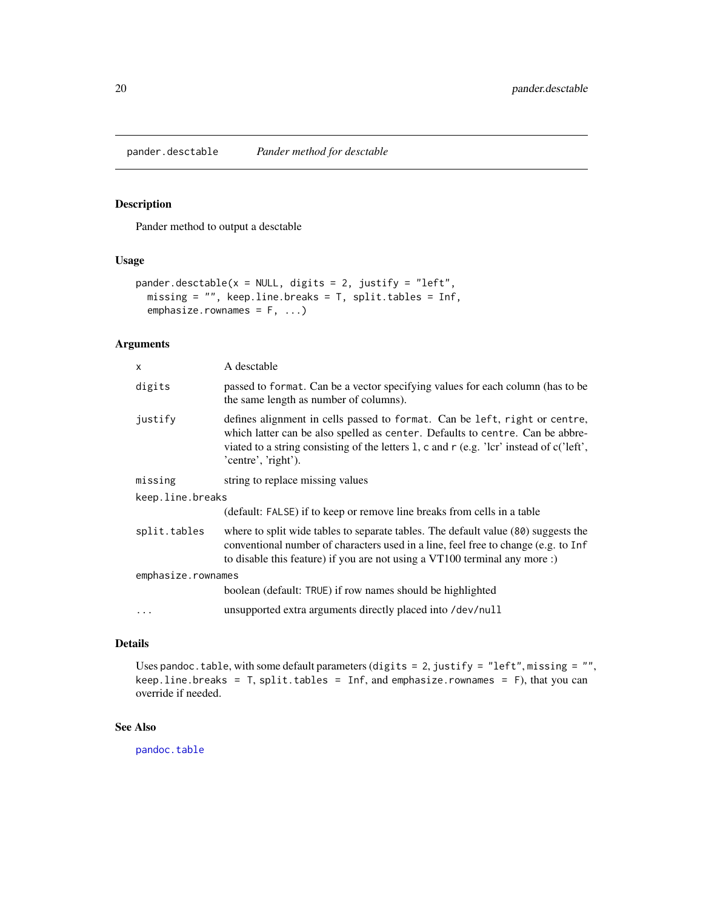<span id="page-19-1"></span><span id="page-19-0"></span>pander.desctable *Pander method for desctable*

#### Description

Pander method to output a desctable

#### Usage

```
pander.desctable(x = NULL, digits = 2, justify = "left",
 missing = "", keep.line.breaks = T, split.tables = Inf,
  emphasize.rownames = F, ...)
```
#### Arguments

| X                  | A desctable                                                                                                                                                                                                                                                                    |  |
|--------------------|--------------------------------------------------------------------------------------------------------------------------------------------------------------------------------------------------------------------------------------------------------------------------------|--|
| digits             | passed to format. Can be a vector specifying values for each column (has to be<br>the same length as number of columns).                                                                                                                                                       |  |
| justify            | defines alignment in cells passed to format. Can be left, right or centre,<br>which latter can be also spelled as center. Defaults to centre. Can be abbre-<br>viated to a string consisting of the letters 1, c and r (e.g. 'lcr' instead of c('left',<br>'centre', 'right'). |  |
| missing            | string to replace missing values                                                                                                                                                                                                                                               |  |
| keep.line.breaks   |                                                                                                                                                                                                                                                                                |  |
|                    | (default: FALSE) if to keep or remove line breaks from cells in a table                                                                                                                                                                                                        |  |
| split.tables       | where to split wide tables to separate tables. The default value (80) suggests the<br>conventional number of characters used in a line, feel free to change (e.g. to Inf<br>to disable this feature) if you are not using a VT100 terminal any more :)                         |  |
| emphasize.rownames |                                                                                                                                                                                                                                                                                |  |
|                    | boolean (default: TRUE) if row names should be highlighted                                                                                                                                                                                                                     |  |
|                    | unsupported extra arguments directly placed into /dev/null                                                                                                                                                                                                                     |  |

#### Details

Uses pandoc.table, with some default parameters (digits = 2, justify = "left", missing = "", keep.line.breaks = T, split.tables = Inf, and emphasize.rownames = F), that you can override if needed.

#### See Also

[pandoc.table](#page-0-0)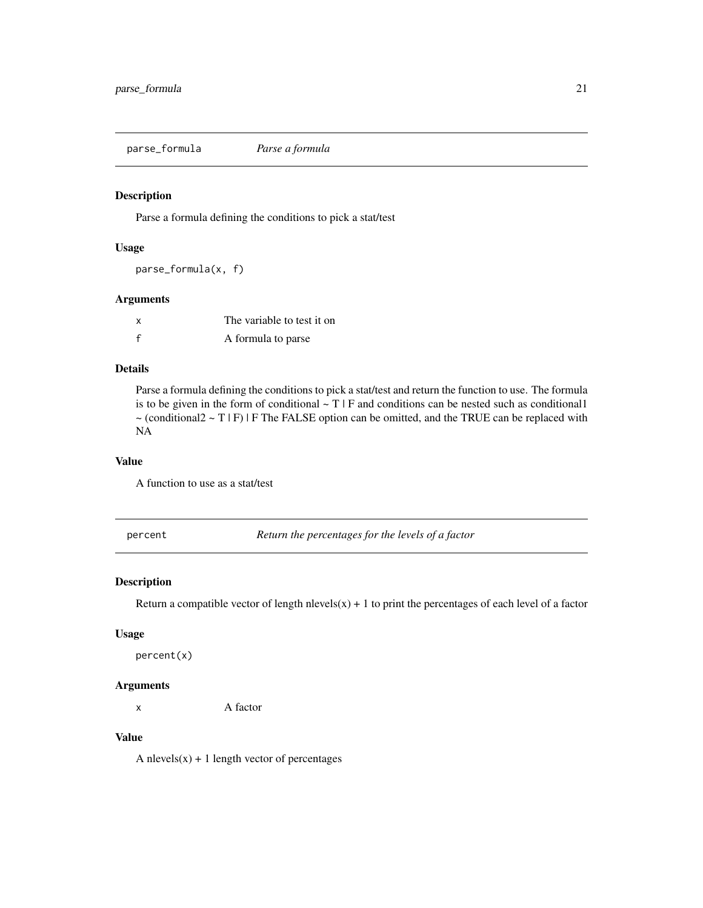<span id="page-20-0"></span>parse\_formula *Parse a formula*

### Description

Parse a formula defining the conditions to pick a stat/test

#### Usage

parse\_formula(x, f)

#### Arguments

| x | The variable to test it on |
|---|----------------------------|
| f | A formula to parse         |

### Details

Parse a formula defining the conditions to pick a stat/test and return the function to use. The formula is to be given in the form of conditional  $\sim T \mid F$  and conditions can be nested such as conditional 1  $\sim$  (conditional2  $\sim$  T | F) | F The FALSE option can be omitted, and the TRUE can be replaced with NA

### Value

A function to use as a stat/test

percent *Return the percentages for the levels of a factor*

### Description

Return a compatible vector of length nlevels( $x$ ) + 1 to print the percentages of each level of a factor

#### Usage

percent(x)

#### Arguments

x A factor

### Value

A nlevels $(x) + 1$  length vector of percentages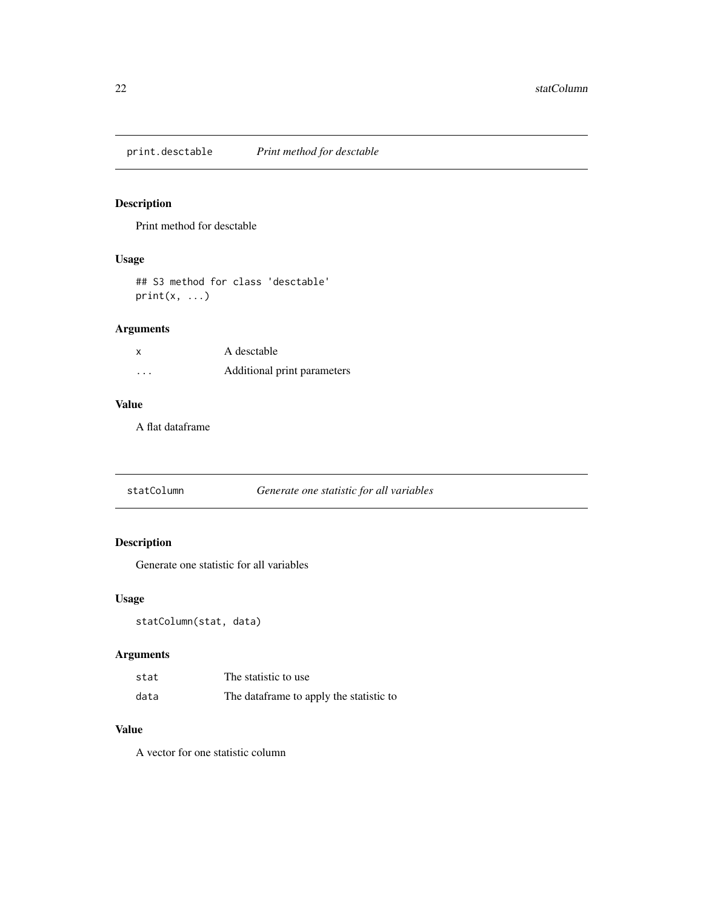<span id="page-21-1"></span><span id="page-21-0"></span>print.desctable *Print method for desctable*

### Description

Print method for desctable

### Usage

## S3 method for class 'desctable'  $print(x, \ldots)$ 

### Arguments

| x        | A desctable                 |
|----------|-----------------------------|
| $\cdots$ | Additional print parameters |

### Value

A flat dataframe

statColumn *Generate one statistic for all variables*

### Description

Generate one statistic for all variables

### Usage

statColumn(stat, data)

### Arguments

| stat | The statistic to use                    |
|------|-----------------------------------------|
| data | The dataframe to apply the statistic to |

### Value

A vector for one statistic column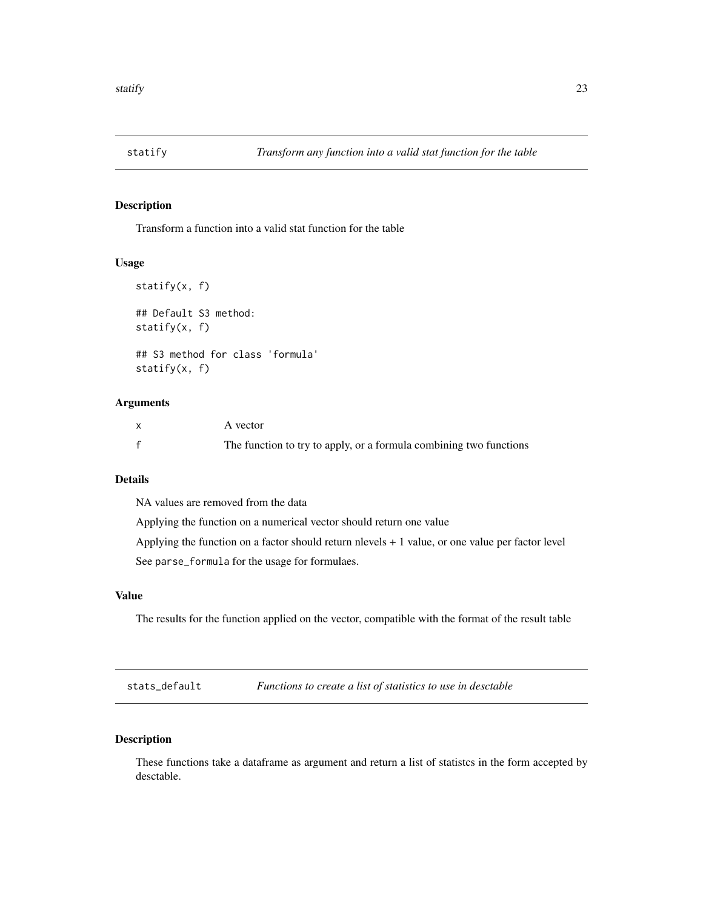<span id="page-22-0"></span>

Transform a function into a valid stat function for the table

#### Usage

```
statify(x, f)
## Default S3 method:
statify(x, f)
## S3 method for class 'formula'
statify(x, f)
```
#### Arguments

| A vector                                                           |
|--------------------------------------------------------------------|
| The function to try to apply, or a formula combining two functions |

### Details

NA values are removed from the data

Applying the function on a numerical vector should return one value

Applying the function on a factor should return nlevels + 1 value, or one value per factor level See parse\_formula for the usage for formulaes.

#### Value

The results for the function applied on the vector, compatible with the format of the result table

stats\_default *Functions to create a list of statistics to use in desctable*

### <span id="page-22-1"></span>Description

These functions take a dataframe as argument and return a list of statistcs in the form accepted by desctable.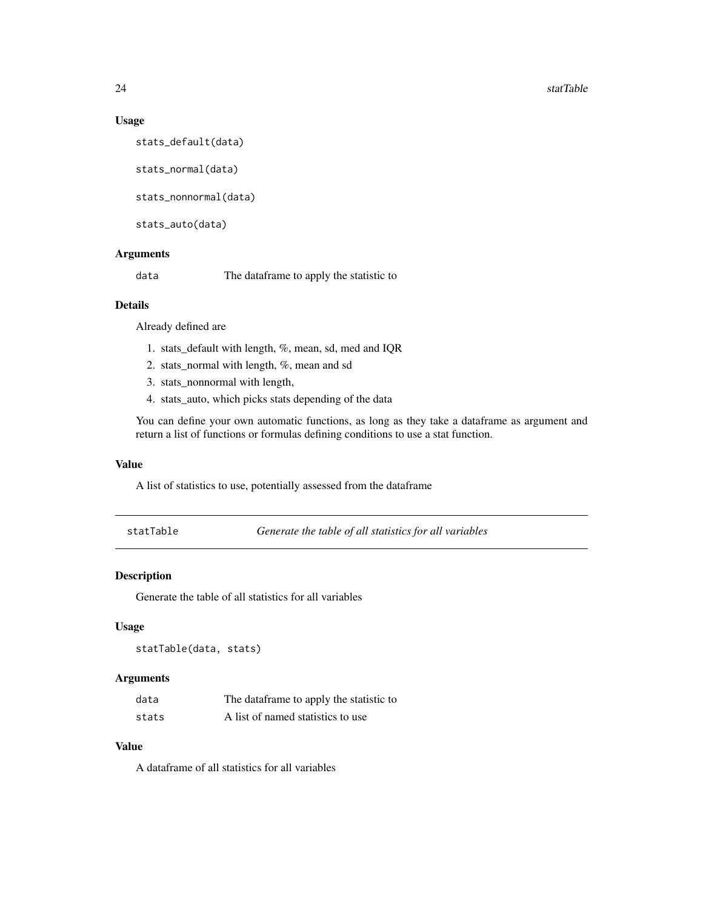#### Usage

stats\_default(data)

stats\_normal(data)

stats\_nonnormal(data)

stats\_auto(data)

#### Arguments

data The dataframe to apply the statistic to

#### Details

Already defined are

- 1. stats\_default with length, %, mean, sd, med and IQR
- 2. stats\_normal with length, %, mean and sd
- 3. stats\_nonnormal with length,
- 4. stats\_auto, which picks stats depending of the data

You can define your own automatic functions, as long as they take a dataframe as argument and return a list of functions or formulas defining conditions to use a stat function.

#### Value

A list of statistics to use, potentially assessed from the dataframe

statTable *Generate the table of all statistics for all variables*

### Description

Generate the table of all statistics for all variables

#### Usage

statTable(data, stats)

#### Arguments

| data  | The dataframe to apply the statistic to |
|-------|-----------------------------------------|
| stats | A list of named statistics to use       |

### Value

A dataframe of all statistics for all variables

<span id="page-23-0"></span>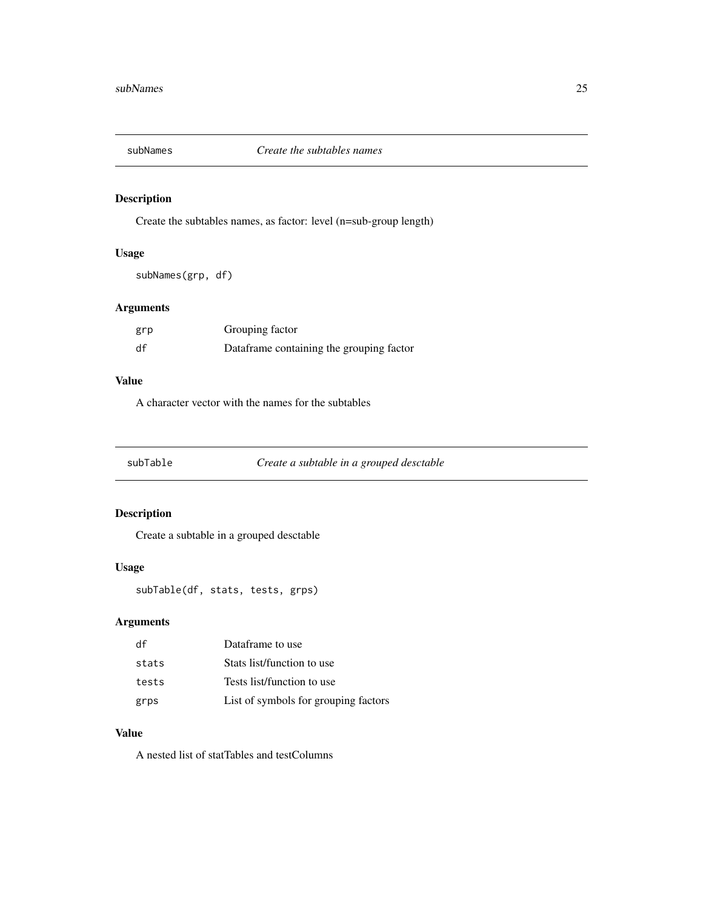<span id="page-24-0"></span>

Create the subtables names, as factor: level (n=sub-group length)

### Usage

subNames(grp, df)

### Arguments

| grp | Grouping factor                          |
|-----|------------------------------------------|
| df  | Dataframe containing the grouping factor |

### Value

A character vector with the names for the subtables

subTable *Create a subtable in a grouped desctable*

### Description

Create a subtable in a grouped desctable

### Usage

subTable(df, stats, tests, grps)

### Arguments

| df    | Dataframe to use                     |
|-------|--------------------------------------|
| stats | Stats list/function to use           |
| tests | Tests list/function to use           |
| grps  | List of symbols for grouping factors |

### Value

A nested list of statTables and testColumns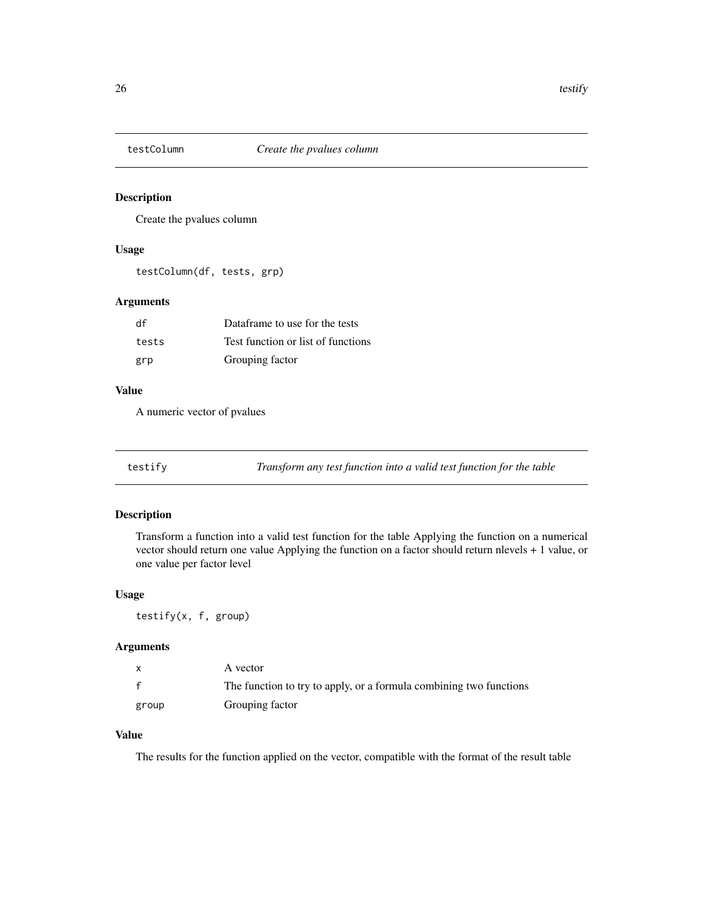<span id="page-25-0"></span>

Create the pvalues column

#### Usage

testColumn(df, tests, grp)

### Arguments

| df    | Dataframe to use for the tests     |
|-------|------------------------------------|
| tests | Test function or list of functions |
| grp   | Grouping factor                    |

#### Value

A numeric vector of pvalues

testify *Transform any test function into a valid test function for the table*

### Description

Transform a function into a valid test function for the table Applying the function on a numerical vector should return one value Applying the function on a factor should return nlevels + 1 value, or one value per factor level

#### Usage

testify(x, f, group)

#### Arguments

|              | A vector                                                           |
|--------------|--------------------------------------------------------------------|
| $\mathbf{f}$ | The function to try to apply, or a formula combining two functions |
| group        | Grouping factor                                                    |

#### Value

The results for the function applied on the vector, compatible with the format of the result table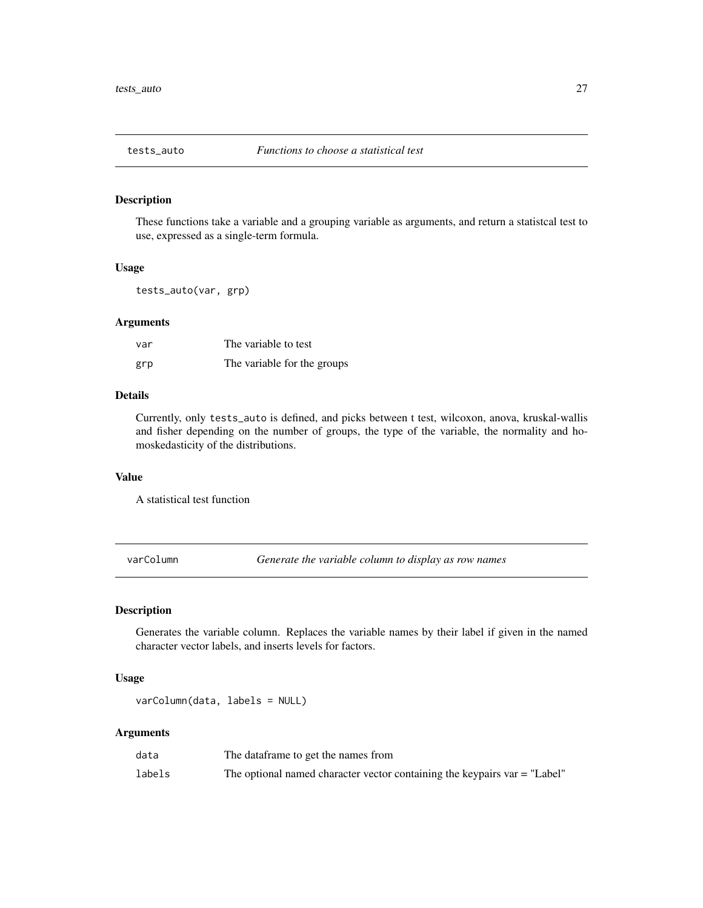<span id="page-26-1"></span><span id="page-26-0"></span>These functions take a variable and a grouping variable as arguments, and return a statistcal test to use, expressed as a single-term formula.

#### Usage

tests\_auto(var, grp)

### Arguments

| var | The variable to test        |
|-----|-----------------------------|
| grp | The variable for the groups |

#### Details

Currently, only tests\_auto is defined, and picks between t test, wilcoxon, anova, kruskal-wallis and fisher depending on the number of groups, the type of the variable, the normality and homoskedasticity of the distributions.

#### Value

A statistical test function

varColumn *Generate the variable column to display as row names*

#### Description

Generates the variable column. Replaces the variable names by their label if given in the named character vector labels, and inserts levels for factors.

#### Usage

varColumn(data, labels = NULL)

#### Arguments

| data   | The dataframe to get the names from                                         |
|--------|-----------------------------------------------------------------------------|
| labels | The optional named character vector containing the keypairs $var = "Label"$ |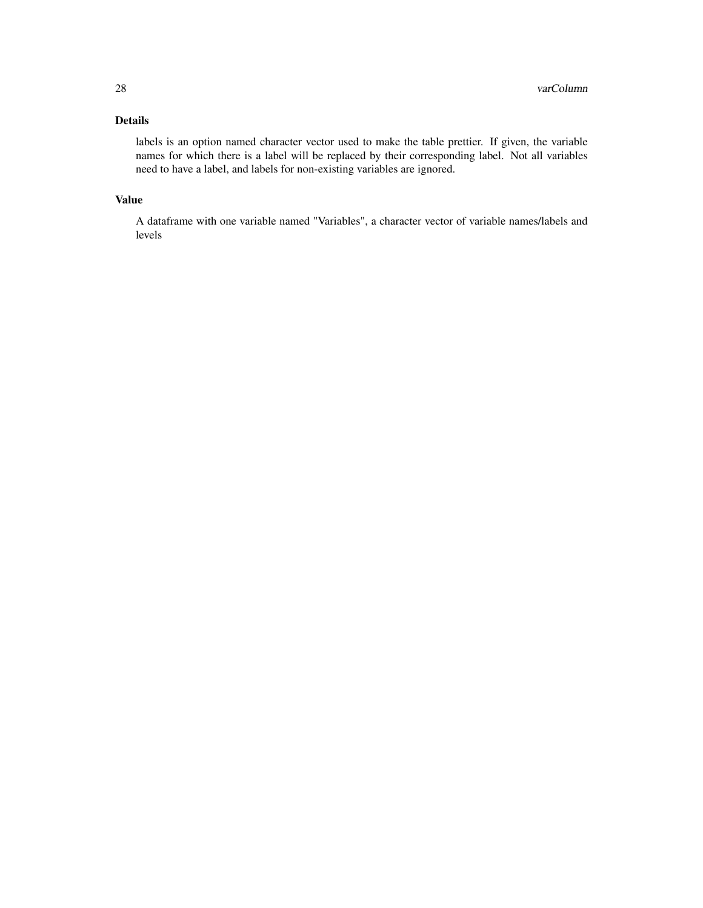### Details

labels is an option named character vector used to make the table prettier. If given, the variable names for which there is a label will be replaced by their corresponding label. Not all variables need to have a label, and labels for non-existing variables are ignored.

### Value

A dataframe with one variable named "Variables", a character vector of variable names/labels and levels